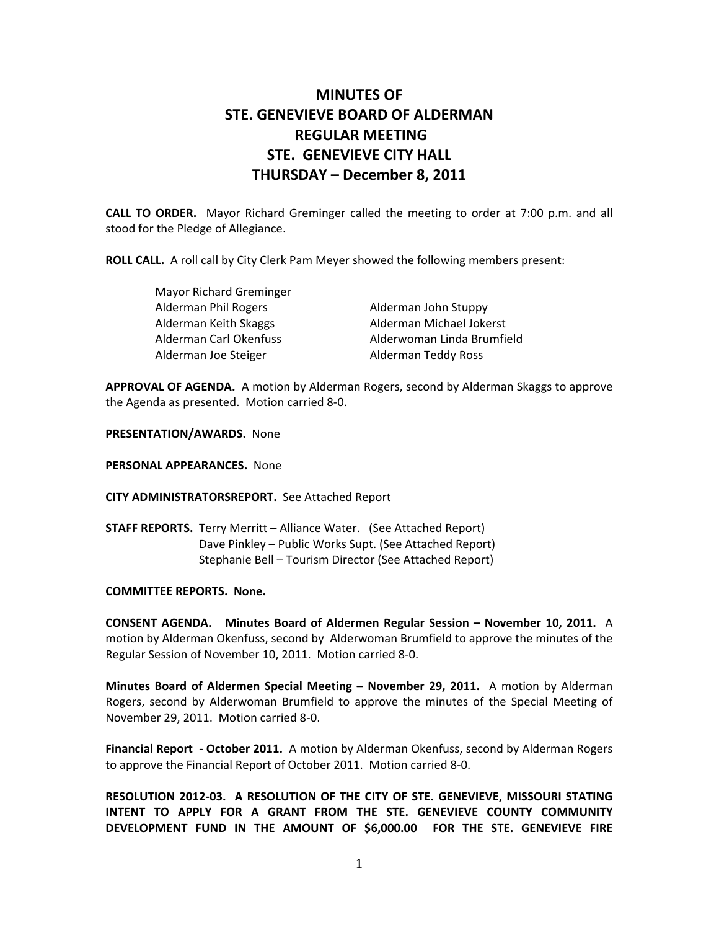## **MINUTES OF STE. GENEVIEVE BOARD OF ALDERMAN REGULAR MEETING STE. GENEVIEVE CITY HALL THURSDAY – December 8, 2011**

**CALL TO ORDER.** Mayor Richard Greminger called the meeting to order at 7:00 p.m. and all stood for the Pledge of Allegiance.

**ROLL CALL.** A roll call by City Clerk Pam Meyer showed the following members present:

| <b>Mayor Richard Greminger</b> |                            |
|--------------------------------|----------------------------|
| Alderman Phil Rogers           | Alderman John Stuppy       |
| Alderman Keith Skaggs          | Alderman Michael Jokerst   |
| Alderman Carl Okenfuss         | Alderwoman Linda Brumfield |
| Alderman Joe Steiger           | Alderman Teddy Ross        |

**APPROVAL OF AGENDA.** A motion by Alderman Rogers, second by Alderman Skaggs to approve the Agenda as presented. Motion carried 8‐0.

**PRESENTATION/AWARDS.** None

**PERSONAL APPEARANCES.** None

**CITY ADMINISTRATORSREPORT.** See Attached Report

**STAFF REPORTS.** Terry Merritt - Alliance Water. (See Attached Report) Dave Pinkley – Public Works Supt. (See Attached Report) Stephanie Bell – Tourism Director (See Attached Report)

## **COMMITTEE REPORTS. None.**

**CONSENT AGENDA. Minutes Board of Aldermen Regular Session – November 10, 2011.** A motion by Alderman Okenfuss, second by Alderwoman Brumfield to approve the minutes of the Regular Session of November 10, 2011. Motion carried 8‐0.

**Minutes Board of Aldermen Special Meeting – November 29, 2011.** A motion by Alderman Rogers, second by Alderwoman Brumfield to approve the minutes of the Special Meeting of November 29, 2011. Motion carried 8‐0.

**Financial Report ‐ October 2011.** A motion by Alderman Okenfuss, second by Alderman Rogers to approve the Financial Report of October 2011. Motion carried 8‐0.

**RESOLUTION 2012‐03. A RESOLUTION OF THE CITY OF STE. GENEVIEVE, MISSOURI STATING INTENT TO APPLY FOR A GRANT FROM THE STE. GENEVIEVE COUNTY COMMUNITY DEVELOPMENT FUND IN THE AMOUNT OF \$6,000.00 FOR THE STE. GENEVIEVE FIRE**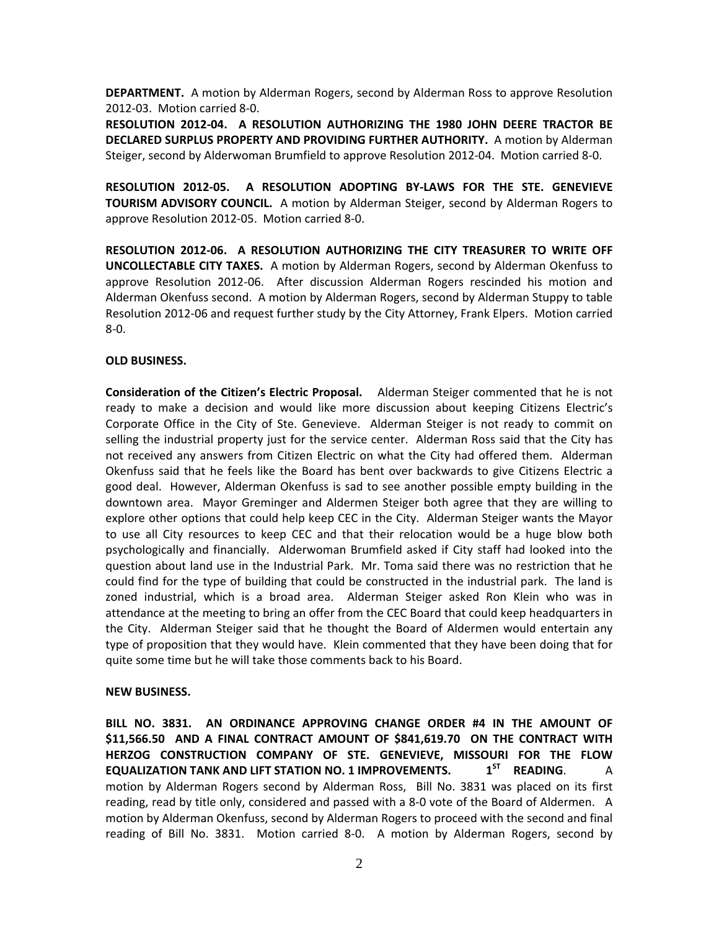**DEPARTMENT.** A motion by Alderman Rogers, second by Alderman Ross to approve Resolution 2012‐03. Motion carried 8‐0.

**RESOLUTION 2012‐04. A RESOLUTION AUTHORIZING THE 1980 JOHN DEERE TRACTOR BE DECLARED SURPLUS PROPERTY AND PROVIDING FURTHER AUTHORITY.** A motion by Alderman Steiger, second by Alderwoman Brumfield to approve Resolution 2012‐04. Motion carried 8‐0.

**RESOLUTION 2012‐05. A RESOLUTION ADOPTING BY‐LAWS FOR THE STE. GENEVIEVE TOURISM ADVISORY COUNCIL.** A motion by Alderman Steiger, second by Alderman Rogers to approve Resolution 2012‐05. Motion carried 8‐0.

**RESOLUTION 2012‐06. A RESOLUTION AUTHORIZING THE CITY TREASURER TO WRITE OFF UNCOLLECTABLE CITY TAXES.** A motion by Alderman Rogers, second by Alderman Okenfuss to approve Resolution 2012‐06. After discussion Alderman Rogers rescinded his motion and Alderman Okenfuss second. A motion by Alderman Rogers, second by Alderman Stuppy to table Resolution 2012‐06 and request further study by the City Attorney, Frank Elpers. Motion carried 8‐0.

## **OLD BUSINESS.**

**Consideration of the Citizen's Electric Proposal.** Alderman Steiger commented that he is not ready to make a decision and would like more discussion about keeping Citizens Electric's Corporate Office in the City of Ste. Genevieve. Alderman Steiger is not ready to commit on selling the industrial property just for the service center. Alderman Ross said that the City has not received any answers from Citizen Electric on what the City had offered them. Alderman Okenfuss said that he feels like the Board has bent over backwards to give Citizens Electric a good deal. However, Alderman Okenfuss is sad to see another possible empty building in the downtown area. Mayor Greminger and Aldermen Steiger both agree that they are willing to explore other options that could help keep CEC in the City. Alderman Steiger wants the Mayor to use all City resources to keep CEC and that their relocation would be a huge blow both psychologically and financially. Alderwoman Brumfield asked if City staff had looked into the question about land use in the Industrial Park. Mr. Toma said there was no restriction that he could find for the type of building that could be constructed in the industrial park. The land is zoned industrial, which is a broad area. Alderman Steiger asked Ron Klein who was in attendance at the meeting to bring an offer from the CEC Board that could keep headquarters in the City. Alderman Steiger said that he thought the Board of Aldermen would entertain any type of proposition that they would have. Klein commented that they have been doing that for quite some time but he will take those comments back to his Board.

## **NEW BUSINESS.**

**BILL NO. 3831. AN ORDINANCE APPROVING CHANGE ORDER #4 IN THE AMOUNT OF \$11,566.50 AND A FINAL CONTRACT AMOUNT OF \$841,619.70 ON THE CONTRACT WITH HERZOG CONSTRUCTION COMPANY OF STE. GENEVIEVE, MISSOURI FOR THE FLOW EQUALIZATION TANK AND LIFT STATION NO. 1 IMPROVEMENTS. 1ST READING**. A motion by Alderman Rogers second by Alderman Ross, Bill No. 3831 was placed on its first reading, read by title only, considered and passed with a 8‐0 vote of the Board of Aldermen. A motion by Alderman Okenfuss, second by Alderman Rogers to proceed with the second and final reading of Bill No. 3831. Motion carried 8-0. A motion by Alderman Rogers, second by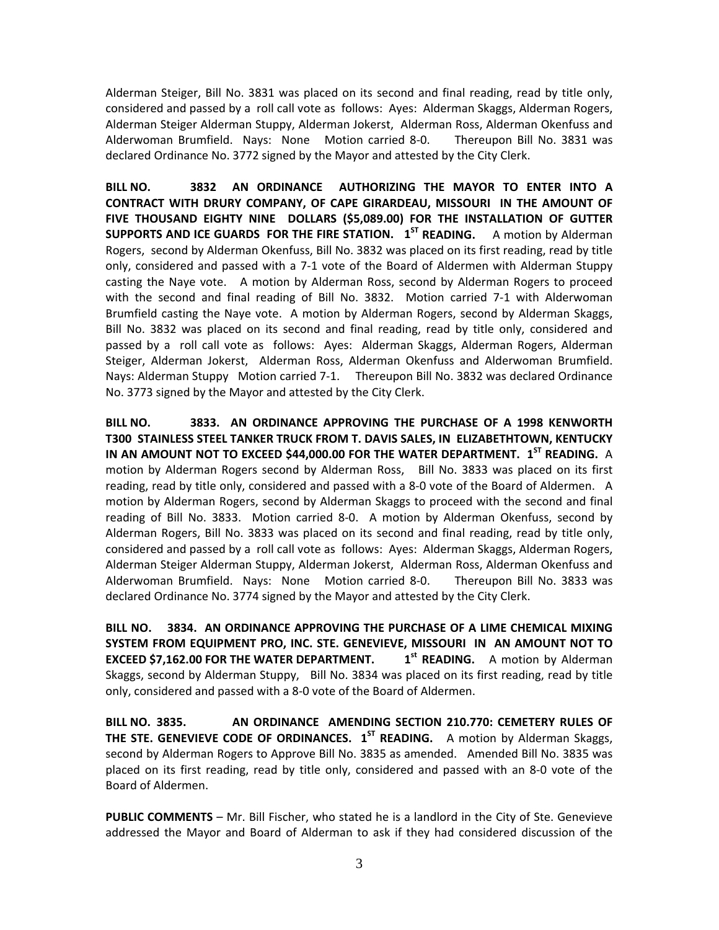Alderman Steiger, Bill No. 3831 was placed on its second and final reading, read by title only, considered and passed by a roll call vote as follows: Ayes: Alderman Skaggs, Alderman Rogers, Alderman Steiger Alderman Stuppy, Alderman Jokerst, Alderman Ross, Alderman Okenfuss and Alderwoman Brumfield. Nays: None Motion carried 8‐0. Thereupon Bill No. 3831 was declared Ordinance No. 3772 signed by the Mayor and attested by the City Clerk.

**BILL NO. 3832 AN ORDINANCE AUTHORIZING THE MAYOR TO ENTER INTO A CONTRACT WITH DRURY COMPANY, OF CAPE GIRARDEAU, MISSOURI IN THE AMOUNT OF FIVE THOUSAND EIGHTY NINE DOLLARS (\$5,089.00) FOR THE INSTALLATION OF GUTTER SUPPORTS AND ICE GUARDS FOR THE FIRE STATION. 1ST READING.** A motion by Alderman Rogers, second by Alderman Okenfuss, Bill No. 3832 was placed on its first reading, read by title only, considered and passed with a 7‐1 vote of the Board of Aldermen with Alderman Stuppy casting the Naye vote. A motion by Alderman Ross, second by Alderman Rogers to proceed with the second and final reading of Bill No. 3832. Motion carried 7-1 with Alderwoman Brumfield casting the Naye vote. A motion by Alderman Rogers, second by Alderman Skaggs, Bill No. 3832 was placed on its second and final reading, read by title only, considered and passed by a roll call vote as follows: Ayes: Alderman Skaggs, Alderman Rogers, Alderman Steiger, Alderman Jokerst, Alderman Ross, Alderman Okenfuss and Alderwoman Brumfield. Nays: Alderman Stuppy Motion carried 7-1. Thereupon Bill No. 3832 was declared Ordinance No. 3773 signed by the Mayor and attested by the City Clerk.

**BILL NO. 3833. AN ORDINANCE APPROVING THE PURCHASE OF A 1998 KENWORTH T300 STAINLESS STEEL TANKER TRUCK FROM T. DAVIS SALES, IN ELIZABETHTOWN, KENTUCKY IN AN AMOUNT NOT TO EXCEED \$44,000.00 FOR THE WATER DEPARTMENT. 1ST READING.** A motion by Alderman Rogers second by Alderman Ross, Bill No. 3833 was placed on its first reading, read by title only, considered and passed with a 8‐0 vote of the Board of Aldermen. A motion by Alderman Rogers, second by Alderman Skaggs to proceed with the second and final reading of Bill No. 3833. Motion carried 8-0. A motion by Alderman Okenfuss, second by Alderman Rogers, Bill No. 3833 was placed on its second and final reading, read by title only, considered and passed by a roll call vote as follows: Ayes: Alderman Skaggs, Alderman Rogers, Alderman Steiger Alderman Stuppy, Alderman Jokerst, Alderman Ross, Alderman Okenfuss and Alderwoman Brumfield. Nays: None Motion carried 8‐0. Thereupon Bill No. 3833 was declared Ordinance No. 3774 signed by the Mayor and attested by the City Clerk.

**BILL NO. 3834. AN ORDINANCE APPROVING THE PURCHASE OF A LIME CHEMICAL MIXING SYSTEM FROM EQUIPMENT PRO, INC. STE. GENEVIEVE, MISSOURI IN AN AMOUNT NOT TO EXCEED \$7,162.00 FOR THE WATER DEPARTMENT. 1st READING.** A motion by Alderman Skaggs, second by Alderman Stuppy, Bill No. 3834 was placed on its first reading, read by title only, considered and passed with a 8‐0 vote of the Board of Aldermen.

**BILL NO. 3835. AN ORDINANCE AMENDING SECTION 210.770: CEMETERY RULES OF THE STE. GENEVIEVE CODE OF ORDINANCES. 1ST READING.** A motion by Alderman Skaggs, second by Alderman Rogers to Approve Bill No. 3835 as amended. Amended Bill No. 3835 was placed on its first reading, read by title only, considered and passed with an 8‐0 vote of the Board of Aldermen.

**PUBLIC COMMENTS** – Mr. Bill Fischer, who stated he is a landlord in the City of Ste. Genevieve addressed the Mayor and Board of Alderman to ask if they had considered discussion of the